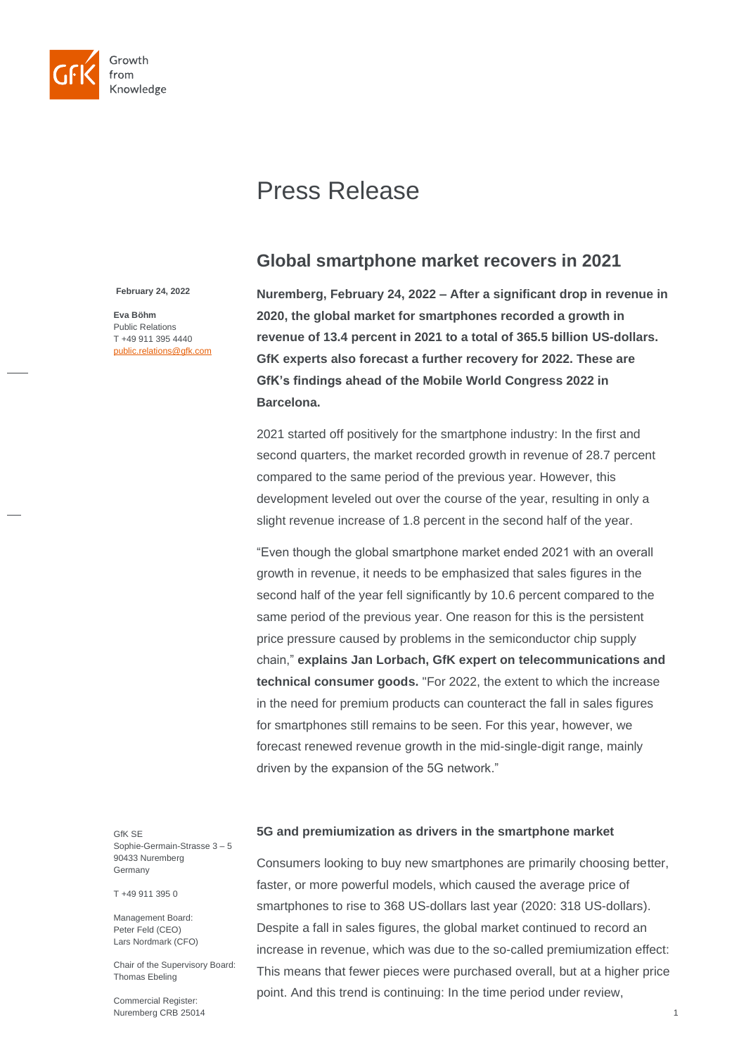

# Press Release

## **Global smartphone market recovers in 2021**

**February 24, 2022**

**Eva Böhm** Public Relations T +49 911 395 4440 public.relations@gfk.com **Nuremberg, February 24, 2022 – After a significant drop in revenue in 2020, the global market for smartphones recorded a growth in revenue of 13.4 percent in 2021 to a total of 365.5 billion US-dollars. GfK experts also forecast a further recovery for 2022. These are GfK's findings ahead of the Mobile World Congress 2022 in Barcelona.**

2021 started off positively for the smartphone industry: In the first and second quarters, the market recorded growth in revenue of 28.7 percent compared to the same period of the previous year. However, this development leveled out over the course of the year, resulting in only a slight revenue increase of 1.8 percent in the second half of the year.

"Even though the global smartphone market ended 2021 with an overall growth in revenue, it needs to be emphasized that sales figures in the second half of the year fell significantly by 10.6 percent compared to the same period of the previous year. One reason for this is the persistent price pressure caused by problems in the semiconductor chip supply chain," **explains Jan Lorbach, GfK expert on telecommunications and technical consumer goods.** "For 2022, the extent to which the increase in the need for premium products can counteract the fall in sales figures for smartphones still remains to be seen. For this year, however, we forecast renewed revenue growth in the mid-single-digit range, mainly driven by the expansion of the 5G network."

GfK SE Sophie-Germain-Strasse 3 – 5 90433 Nuremberg Germany

T +49 911 395 0

Management Board: Peter Feld (CEO) Lars Nordmark (CFO)

Chair of the Supervisory Board: Thomas Ebeling

Commercial Register: Nuremberg CRB 25014

## **5G and premiumization as drivers in the smartphone market**

Consumers looking to buy new smartphones are primarily choosing better, faster, or more powerful models, which caused the average price of smartphones to rise to 368 US-dollars last year (2020: 318 US-dollars). Despite a fall in sales figures, the global market continued to record an increase in revenue, which was due to the so-called premiumization effect: This means that fewer pieces were purchased overall, but at a higher price point. And this trend is continuing: In the time period under review,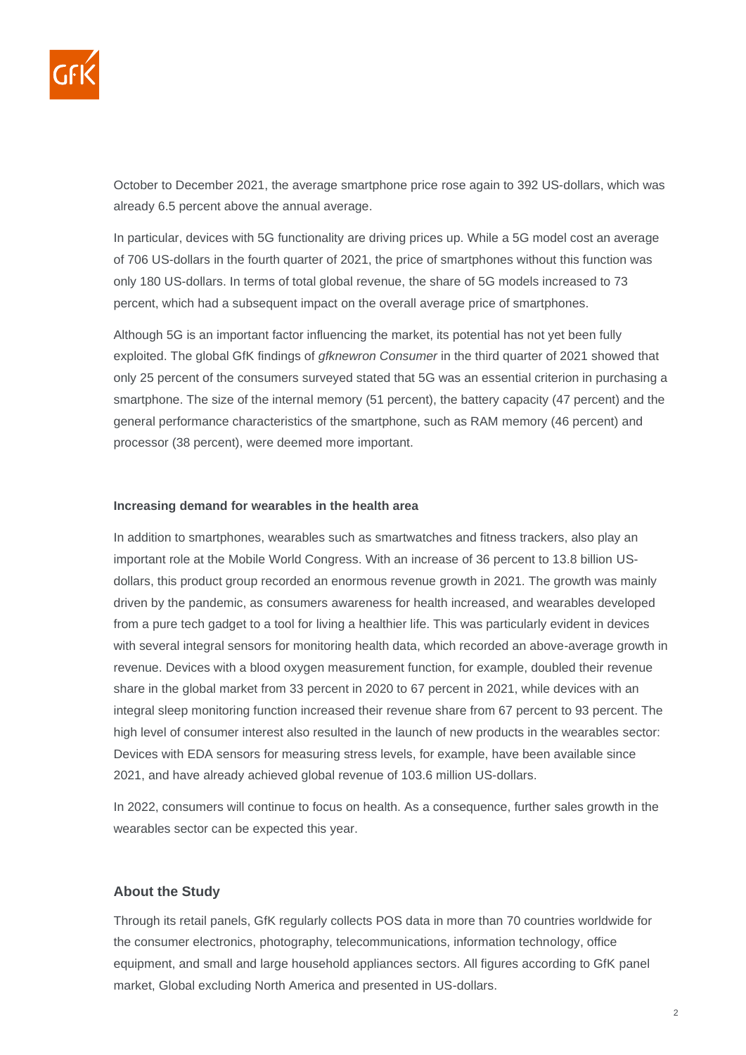

October to December 2021, the average smartphone price rose again to 392 US-dollars, which was already 6.5 percent above the annual average.

In particular, devices with 5G functionality are driving prices up. While a 5G model cost an average of 706 US-dollars in the fourth quarter of 2021, the price of smartphones without this function was only 180 US-dollars. In terms of total global revenue, the share of 5G models increased to 73 percent, which had a subsequent impact on the overall average price of smartphones.

Although 5G is an important factor influencing the market, its potential has not yet been fully exploited. The global GfK findings of *gfknewron Consumer* in the third quarter of 2021 showed that only 25 percent of the consumers surveyed stated that 5G was an essential criterion in purchasing a smartphone. The size of the internal memory (51 percent), the battery capacity (47 percent) and the general performance characteristics of the smartphone, such as RAM memory (46 percent) and processor (38 percent), were deemed more important.

#### **Increasing demand for wearables in the health area**

In addition to smartphones, wearables such as smartwatches and fitness trackers, also play an important role at the Mobile World Congress. With an increase of 36 percent to 13.8 billion USdollars, this product group recorded an enormous revenue growth in 2021. The growth was mainly driven by the pandemic, as consumers awareness for health increased, and wearables developed from a pure tech gadget to a tool for living a healthier life. This was particularly evident in devices with several integral sensors for monitoring health data, which recorded an above-average growth in revenue. Devices with a blood oxygen measurement function, for example, doubled their revenue share in the global market from 33 percent in 2020 to 67 percent in 2021, while devices with an integral sleep monitoring function increased their revenue share from 67 percent to 93 percent. The high level of consumer interest also resulted in the launch of new products in the wearables sector: Devices with EDA sensors for measuring stress levels, for example, have been available since 2021, and have already achieved global revenue of 103.6 million US-dollars.

In 2022, consumers will continue to focus on health. As a consequence, further sales growth in the wearables sector can be expected this year.

## **About the Study**

Through its retail panels, GfK regularly collects POS data in more than 70 countries worldwide for the consumer electronics, photography, telecommunications, information technology, office equipment, and small and large household appliances sectors. All figures according to GfK panel market, Global excluding North America and presented in US-dollars.